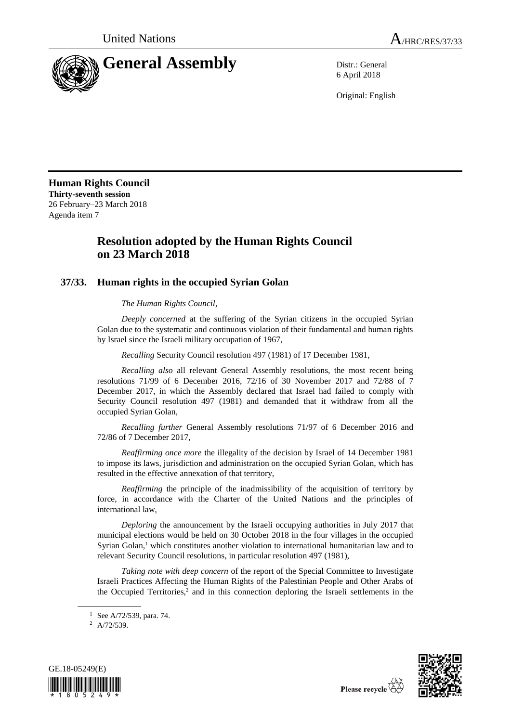

6 April 2018

Original: English

**Human Rights Council Thirty-seventh session** 26 February–23 March 2018 Agenda item 7

## **Resolution adopted by the Human Rights Council on 23 March 2018**

## **37/33. Human rights in the occupied Syrian Golan**

*The Human Rights Council*,

*Deeply concerned* at the suffering of the Syrian citizens in the occupied Syrian Golan due to the systematic and continuous violation of their fundamental and human rights by Israel since the Israeli military occupation of 1967,

*Recalling* Security Council resolution 497 (1981) of 17 December 1981,

*Recalling also* all relevant General Assembly resolutions, the most recent being resolutions 71/99 of 6 December 2016, 72/16 of 30 November 2017 and 72/88 of 7 December 2017, in which the Assembly declared that Israel had failed to comply with Security Council resolution 497 (1981) and demanded that it withdraw from all the occupied Syrian Golan,

*Recalling further* General Assembly resolutions 71/97 of 6 December 2016 and 72/86 of 7 December 2017,

*Reaffirming once more* the illegality of the decision by Israel of 14 December 1981 to impose its laws, jurisdiction and administration on the occupied Syrian Golan, which has resulted in the effective annexation of that territory,

*Reaffirming* the principle of the inadmissibility of the acquisition of territory by force, in accordance with the Charter of the United Nations and the principles of international law,

*Deploring* the announcement by the Israeli occupying authorities in July 2017 that municipal elections would be held on 30 October 2018 in the four villages in the occupied Syrian Golan, <sup>1</sup> which constitutes another violation to international humanitarian law and to relevant Security Council resolutions, in particular resolution 497 (1981),

*Taking note with deep concern* of the report of the Special Committee to Investigate Israeli Practices Affecting the Human Rights of the Palestinian People and Other Arabs of the Occupied Territories, $2$  and in this connection deploring the Israeli settlements in the

<sup>2</sup> A/72/539.





 $1$  See A/72/539, para. 74.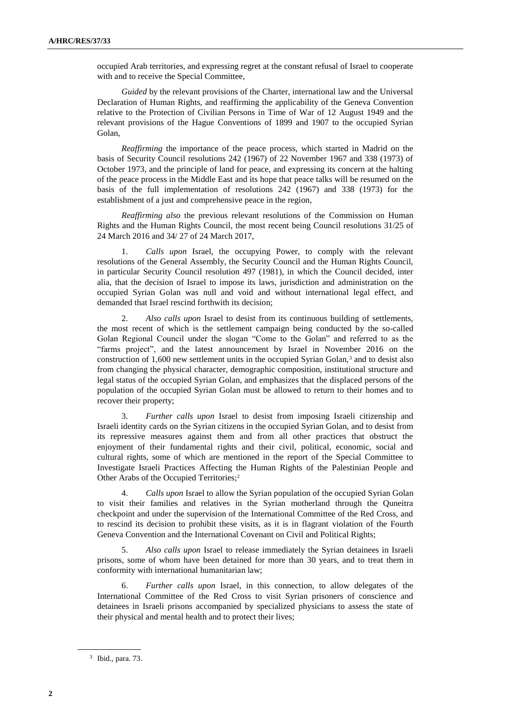occupied Arab territories, and expressing regret at the constant refusal of Israel to cooperate with and to receive the Special Committee,

*Guided* by the relevant provisions of the Charter, international law and the Universal Declaration of Human Rights, and reaffirming the applicability of the Geneva Convention relative to the Protection of Civilian Persons in Time of War of 12 August 1949 and the relevant provisions of the Hague Conventions of 1899 and 1907 to the occupied Syrian Golan,

*Reaffirming* the importance of the peace process, which started in Madrid on the basis of Security Council resolutions 242 (1967) of 22 November 1967 and 338 (1973) of October 1973, and the principle of land for peace, and expressing its concern at the halting of the peace process in the Middle East and its hope that peace talks will be resumed on the basis of the full implementation of resolutions 242 (1967) and 338 (1973) for the establishment of a just and comprehensive peace in the region,

*Reaffirming also* the previous relevant resolutions of the Commission on Human Rights and the Human Rights Council, the most recent being Council resolutions 31/25 of 24 March 2016 and 34/ 27 of 24 March 2017,

1. *Calls upon* Israel, the occupying Power, to comply with the relevant resolutions of the General Assembly, the Security Council and the Human Rights Council, in particular Security Council resolution 497 (1981), in which the Council decided, inter alia, that the decision of Israel to impose its laws, jurisdiction and administration on the occupied Syrian Golan was null and void and without international legal effect, and demanded that Israel rescind forthwith its decision;

2. *Also calls upon* Israel to desist from its continuous building of settlements, the most recent of which is the settlement campaign being conducted by the so-called Golan Regional Council under the slogan "Come to the Golan" and referred to as the "farms project", and the latest announcement by Israel in November 2016 on the construction of 1,600 new settlement units in the occupied Syrian Golan,<sup>3</sup> and to desist also from changing the physical character, demographic composition, institutional structure and legal status of the occupied Syrian Golan, and emphasizes that the displaced persons of the population of the occupied Syrian Golan must be allowed to return to their homes and to recover their property;

3. *Further calls upon* Israel to desist from imposing Israeli citizenship and Israeli identity cards on the Syrian citizens in the occupied Syrian Golan, and to desist from its repressive measures against them and from all other practices that obstruct the enjoyment of their fundamental rights and their civil, political, economic, social and cultural rights, some of which are mentioned in the report of the Special Committee to Investigate Israeli Practices Affecting the Human Rights of the Palestinian People and Other Arabs of the Occupied Territories;<sup>2</sup>

4. *Calls upon* Israel to allow the Syrian population of the occupied Syrian Golan to visit their families and relatives in the Syrian motherland through the Quneitra checkpoint and under the supervision of the International Committee of the Red Cross, and to rescind its decision to prohibit these visits, as it is in flagrant violation of the Fourth Geneva Convention and the International Covenant on Civil and Political Rights;

5. *Also calls upon* Israel to release immediately the Syrian detainees in Israeli prisons, some of whom have been detained for more than 30 years, and to treat them in conformity with international humanitarian law;

6. *Further calls upon* Israel, in this connection, to allow delegates of the International Committee of the Red Cross to visit Syrian prisoners of conscience and detainees in Israeli prisons accompanied by specialized physicians to assess the state of their physical and mental health and to protect their lives;

<sup>3</sup> Ibid., para. 73.